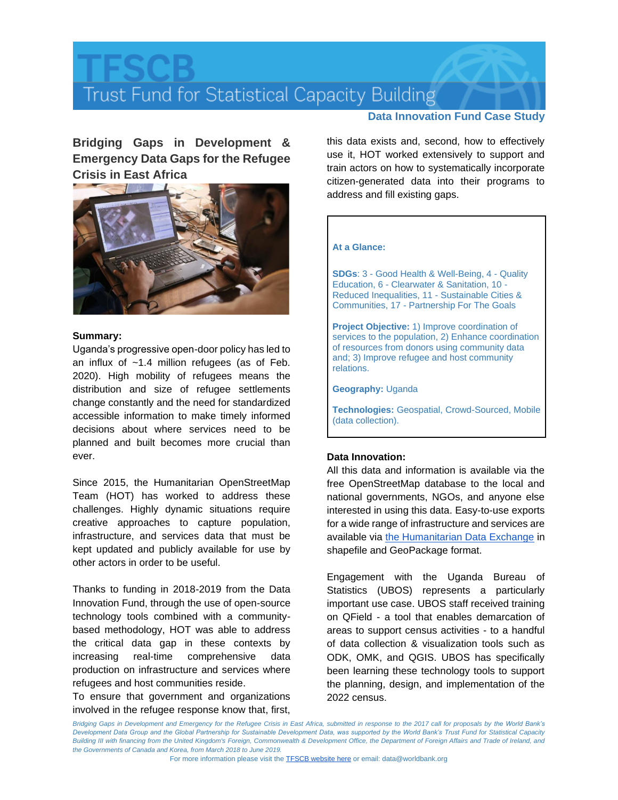# Trust Fund for Statistical Capacity Building

# **Data Innovation Fund Case Study**

**Bridging Gaps in Development & Emergency Data Gaps for the Refugee Crisis in East Africa**



### **Summary:**

Uganda's progressive open-door policy has led to an influx of ~1.4 million refugees (as of Feb. 2020). High mobility of refugees means the distribution and size of refugee settlements change constantly and the need for standardized accessible information to make timely informed decisions about where services need to be planned and built becomes more crucial than ever.

Since 2015, the Humanitarian OpenStreetMap Team (HOT) has worked to address these challenges. Highly dynamic situations require creative approaches to capture population, infrastructure, and services data that must be kept updated and publicly available for use by other actors in order to be useful.

Thanks to funding in 2018-2019 from the Data Innovation Fund, through the use of open-source technology tools combined with a communitybased methodology, HOT was able to address the critical data gap in these contexts by increasing real-time comprehensive data production on infrastructure and services where refugees and host communities reside.

To ensure that government and organizations involved in the refugee response know that, first,

this data exists and, second, how to effectively use it, HOT worked extensively to support and train actors on how to systematically incorporate citizen-generated data into their programs to address and fill existing gaps.

# **At a Glance:**

**SDGs**: 3 - Good Health & Well-Being, 4 - Quality Education, 6 - Clearwater & Sanitation, 10 - Reduced Inequalities, 11 - Sustainable Cities & Communities, 17 - Partnership For The Goals

**Project Objective:** 1) Improve coordination of services to the population, 2) Enhance coordination of resources from donors using community data and; 3) Improve refugee and host community relations.

### **Geography:** Uganda

**Technologies:** Geospatial, Crowd-Sourced, Mobile (data collection).

# **Data Innovation:**

All this data and information is available via the free OpenStreetMap database to the local and national governments, NGOs, and anyone else interested in using this data. Easy-to-use exports for a wide range of infrastructure and services are available via [the Humanitarian Data Exchange](https://data.humdata.org/search?organization=hot&q=Uganda) in shapefile and GeoPackage format.

Engagement with the Uganda Bureau of Statistics (UBOS) represents a particularly important use case. UBOS staff received training on QField - a tool that enables demarcation of areas to support census activities - to a handful of data collection & visualization tools such as ODK, OMK, and QGIS. UBOS has specifically been learning these technology tools to support the planning, design, and implementation of the 2022 census.

Bridging Gaps in Development and Emergency for the Refugee Crisis in East Africa, submitted in response to the 2017 call for proposals by the World Bank's *Development Data Group and the Global Partnership for Sustainable Development Data, was supported by the World Bank's Trust Fund for Statistical Capacity*  Building III with financing from the United Kingdom's Foreign, Commonwealth & Development Office, the Department of Foreign Affairs and Trade of Ireland, and *the Governments of Canada and Korea, from March 2018 to June 2019.*